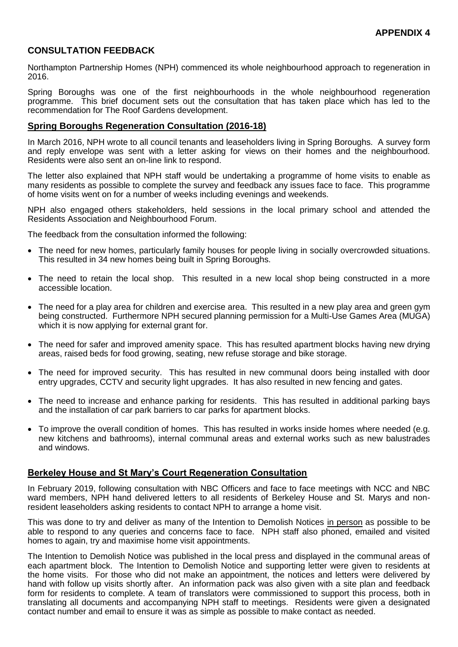# **CONSULTATION FEEDBACK**

Northampton Partnership Homes (NPH) commenced its whole neighbourhood approach to regeneration in 2016.

Spring Boroughs was one of the first neighbourhoods in the whole neighbourhood regeneration programme. This brief document sets out the consultation that has taken place which has led to the recommendation for The Roof Gardens development.

## **Spring Boroughs Regeneration Consultation (2016-18)**

In March 2016, NPH wrote to all council tenants and leaseholders living in Spring Boroughs. A survey form and reply envelope was sent with a letter asking for views on their homes and the neighbourhood. Residents were also sent an on-line link to respond.

The letter also explained that NPH staff would be undertaking a programme of home visits to enable as many residents as possible to complete the survey and feedback any issues face to face. This programme of home visits went on for a number of weeks including evenings and weekends.

NPH also engaged others stakeholders, held sessions in the local primary school and attended the Residents Association and Neighbourhood Forum.

The feedback from the consultation informed the following:

- The need for new homes, particularly family houses for people living in socially overcrowded situations. This resulted in 34 new homes being built in Spring Boroughs.
- The need to retain the local shop. This resulted in a new local shop being constructed in a more accessible location.
- The need for a play area for children and exercise area. This resulted in a new play area and green gym being constructed. Furthermore NPH secured planning permission for a Multi-Use Games Area (MUGA) which it is now applying for external grant for.
- The need for safer and improved amenity space. This has resulted apartment blocks having new drying areas, raised beds for food growing, seating, new refuse storage and bike storage.
- The need for improved security. This has resulted in new communal doors being installed with door entry upgrades, CCTV and security light upgrades. It has also resulted in new fencing and gates.
- The need to increase and enhance parking for residents. This has resulted in additional parking bays and the installation of car park barriers to car parks for apartment blocks.
- To improve the overall condition of homes. This has resulted in works inside homes where needed (e.g. new kitchens and bathrooms), internal communal areas and external works such as new balustrades and windows.

### **Berkeley House and St Mary's Court Regeneration Consultation**

In February 2019, following consultation with NBC Officers and face to face meetings with NCC and NBC ward members, NPH hand delivered letters to all residents of Berkeley House and St. Marys and nonresident leaseholders asking residents to contact NPH to arrange a home visit.

This was done to try and deliver as many of the Intention to Demolish Notices in person as possible to be able to respond to any queries and concerns face to face. NPH staff also phoned, emailed and visited homes to again, try and maximise home visit appointments.

The Intention to Demolish Notice was published in the local press and displayed in the communal areas of each apartment block. The Intention to Demolish Notice and supporting letter were given to residents at the home visits. For those who did not make an appointment, the notices and letters were delivered by hand with follow up visits shortly after. An information pack was also given with a site plan and feedback form for residents to complete. A team of translators were commissioned to support this process, both in translating all documents and accompanying NPH staff to meetings. Residents were given a designated contact number and email to ensure it was as simple as possible to make contact as needed.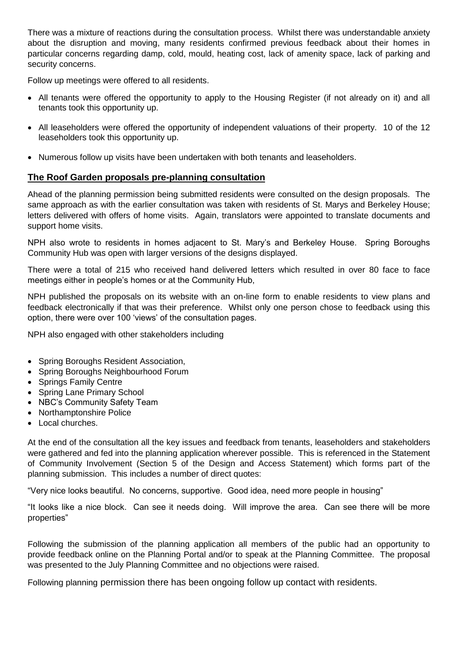There was a mixture of reactions during the consultation process. Whilst there was understandable anxiety about the disruption and moving, many residents confirmed previous feedback about their homes in particular concerns regarding damp, cold, mould, heating cost, lack of amenity space, lack of parking and security concerns.

Follow up meetings were offered to all residents.

- All tenants were offered the opportunity to apply to the Housing Register (if not already on it) and all tenants took this opportunity up.
- All leaseholders were offered the opportunity of independent valuations of their property. 10 of the 12 leaseholders took this opportunity up.
- Numerous follow up visits have been undertaken with both tenants and leaseholders.

## **The Roof Garden proposals pre-planning consultation**

Ahead of the planning permission being submitted residents were consulted on the design proposals. The same approach as with the earlier consultation was taken with residents of St. Marys and Berkeley House; letters delivered with offers of home visits. Again, translators were appointed to translate documents and support home visits.

NPH also wrote to residents in homes adjacent to St. Mary's and Berkeley House. Spring Boroughs Community Hub was open with larger versions of the designs displayed.

There were a total of 215 who received hand delivered letters which resulted in over 80 face to face meetings either in people's homes or at the Community Hub,

NPH published the proposals on its website with an on-line form to enable residents to view plans and feedback electronically if that was their preference. Whilst only one person chose to feedback using this option, there were over 100 'views' of the consultation pages.

NPH also engaged with other stakeholders including

- Spring Boroughs Resident Association,
- Spring Boroughs Neighbourhood Forum
- Springs Family Centre
- Spring Lane Primary School
- NBC's Community Safety Team
- Northamptonshire Police
- Local churches.

At the end of the consultation all the key issues and feedback from tenants, leaseholders and stakeholders were gathered and fed into the planning application wherever possible. This is referenced in the Statement of Community Involvement (Section 5 of the Design and Access Statement) which forms part of the planning submission. This includes a number of direct quotes:

"Very nice looks beautiful. No concerns, supportive. Good idea, need more people in housing"

"It looks like a nice block. Can see it needs doing. Will improve the area. Can see there will be more properties"

Following the submission of the planning application all members of the public had an opportunity to provide feedback online on the Planning Portal and/or to speak at the Planning Committee. The proposal was presented to the July Planning Committee and no objections were raised.

Following planning permission there has been ongoing follow up contact with residents.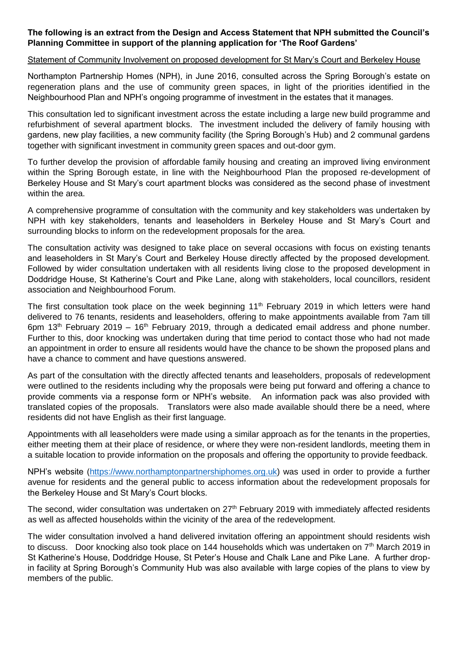### **The following is an extract from the Design and Access Statement that NPH submitted the Council's Planning Committee in support of the planning application for 'The Roof Gardens'**

#### Statement of Community Involvement on proposed development for St Mary's Court and Berkeley House

Northampton Partnership Homes (NPH), in June 2016, consulted across the Spring Borough's estate on regeneration plans and the use of community green spaces, in light of the priorities identified in the Neighbourhood Plan and NPH's ongoing programme of investment in the estates that it manages.

This consultation led to significant investment across the estate including a large new build programme and refurbishment of several apartment blocks. The investment included the delivery of family housing with gardens, new play facilities, a new community facility (the Spring Borough's Hub) and 2 communal gardens together with significant investment in community green spaces and out-door gym.

To further develop the provision of affordable family housing and creating an improved living environment within the Spring Borough estate, in line with the Neighbourhood Plan the proposed re-development of Berkeley House and St Mary's court apartment blocks was considered as the second phase of investment within the area.

A comprehensive programme of consultation with the community and key stakeholders was undertaken by NPH with key stakeholders, tenants and leaseholders in Berkeley House and St Mary's Court and surrounding blocks to inform on the redevelopment proposals for the area.

The consultation activity was designed to take place on several occasions with focus on existing tenants and leaseholders in St Mary's Court and Berkeley House directly affected by the proposed development. Followed by wider consultation undertaken with all residents living close to the proposed development in Doddridge House, St Katherine's Court and Pike Lane, along with stakeholders, local councillors, resident association and Neighbourhood Forum.

The first consultation took place on the week beginning 11<sup>th</sup> February 2019 in which letters were hand delivered to 76 tenants, residents and leaseholders, offering to make appointments available from 7am till 6pm  $13<sup>th</sup>$  February 2019 – 16<sup>th</sup> February 2019, through a dedicated email address and phone number. Further to this, door knocking was undertaken during that time period to contact those who had not made an appointment in order to ensure all residents would have the chance to be shown the proposed plans and have a chance to comment and have questions answered.

As part of the consultation with the directly affected tenants and leaseholders, proposals of redevelopment were outlined to the residents including why the proposals were being put forward and offering a chance to provide comments via a response form or NPH's website. An information pack was also provided with translated copies of the proposals. Translators were also made available should there be a need, where residents did not have English as their first language.

Appointments with all leaseholders were made using a similar approach as for the tenants in the properties, either meeting them at their place of residence, or where they were non-resident landlords, meeting them in a suitable location to provide information on the proposals and offering the opportunity to provide feedback.

NPH's website [\(https://www.northamptonpartnershiphomes.org.uk\)](https://www.northamptonpartnershiphomes.org.uk/) was used in order to provide a further avenue for residents and the general public to access information about the redevelopment proposals for the Berkeley House and St Mary's Court blocks.

The second, wider consultation was undertaken on 27<sup>th</sup> February 2019 with immediately affected residents as well as affected households within the vicinity of the area of the redevelopment.

The wider consultation involved a hand delivered invitation offering an appointment should residents wish to discuss. Door knocking also took place on 144 households which was undertaken on 7<sup>th</sup> March 2019 in St Katherine's House, Doddridge House, St Peter's House and Chalk Lane and Pike Lane. A further dropin facility at Spring Borough's Community Hub was also available with large copies of the plans to view by members of the public.